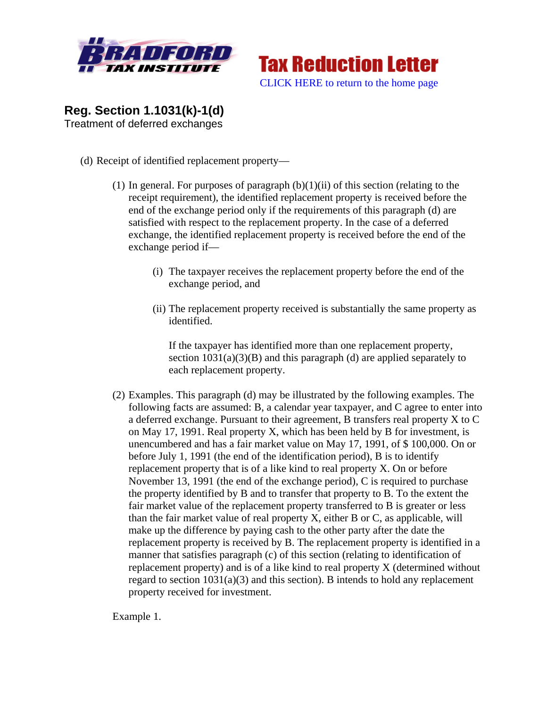



**Reg. Section 1.1031(k)-1(d)**  Treatment of deferred exchanges

- (d) Receipt of identified replacement property—
	- (1) In general. For purposes of paragraph  $(b)(1)(ii)$  of this section (relating to the receipt requirement), the identified replacement property is received before the end of the exchange period only if the requirements of this paragraph (d) are satisfied with respect to the replacement property. In the case of a deferred exchange, the identified replacement property is received before the end of the exchange period if—
		- (i) The taxpayer receives the replacement property before the end of the exchange period, and
		- (ii) The replacement property received is substantially the same property as identified.

If the taxpayer has identified more than one replacement property, section  $1031(a)(3)(B)$  and this paragraph (d) are applied separately to each replacement property.

(2) Examples. This paragraph (d) may be illustrated by the following examples. The following facts are assumed: B, a calendar year taxpayer, and C agree to enter into a deferred exchange. Pursuant to their agreement, B transfers real property X to C on May 17, 1991. Real property X, which has been held by B for investment, is unencumbered and has a fair market value on May 17, 1991, of \$ 100,000. On or before July 1, 1991 (the end of the identification period), B is to identify replacement property that is of a like kind to real property X. On or before November 13, 1991 (the end of the exchange period), C is required to purchase the property identified by B and to transfer that property to B. To the extent the fair market value of the replacement property transferred to B is greater or less than the fair market value of real property X, either B or C, as applicable, will make up the difference by paying cash to the other party after the date the replacement property is received by B. The replacement property is identified in a manner that satisfies paragraph (c) of this section (relating to identification of replacement property) and is of a like kind to real property X (determined without regard to section  $1031(a)(3)$  and this section). B intends to hold any replacement property received for investment.

Example 1.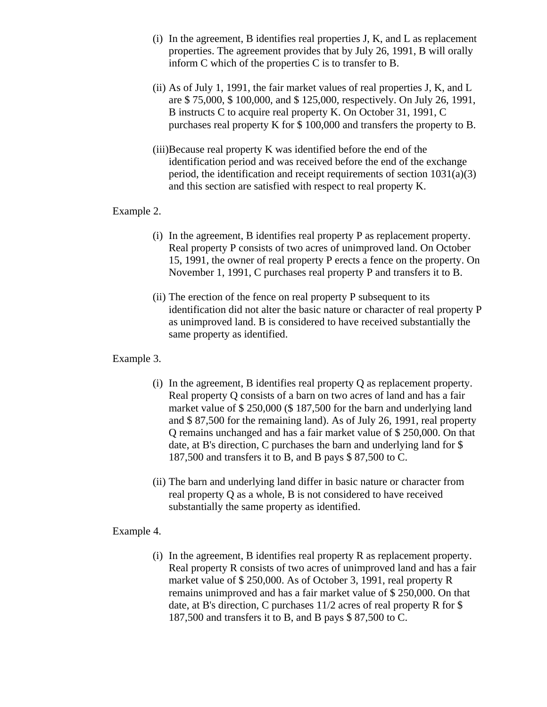- (i) In the agreement, B identifies real properties J, K, and L as replacement properties. The agreement provides that by July 26, 1991, B will orally inform C which of the properties C is to transfer to B.
- (ii) As of July 1, 1991, the fair market values of real properties J, K, and L are \$ 75,000, \$ 100,000, and \$ 125,000, respectively. On July 26, 1991, B instructs C to acquire real property K. On October 31, 1991, C purchases real property K for \$ 100,000 and transfers the property to B.
- (iii)Because real property K was identified before the end of the identification period and was received before the end of the exchange period, the identification and receipt requirements of section 1031(a)(3) and this section are satisfied with respect to real property K.

## Example 2.

- (i) In the agreement, B identifies real property P as replacement property. Real property P consists of two acres of unimproved land. On October 15, 1991, the owner of real property P erects a fence on the property. On November 1, 1991, C purchases real property P and transfers it to B.
- (ii) The erection of the fence on real property P subsequent to its identification did not alter the basic nature or character of real property P as unimproved land. B is considered to have received substantially the same property as identified.

## Example 3.

- (i) In the agreement, B identifies real property Q as replacement property. Real property Q consists of a barn on two acres of land and has a fair market value of \$ 250,000 (\$ 187,500 for the barn and underlying land and \$ 87,500 for the remaining land). As of July 26, 1991, real property Q remains unchanged and has a fair market value of \$ 250,000. On that date, at B's direction, C purchases the barn and underlying land for \$ 187,500 and transfers it to B, and B pays \$ 87,500 to C.
- (ii) The barn and underlying land differ in basic nature or character from real property Q as a whole, B is not considered to have received substantially the same property as identified.

## Example 4.

(i) In the agreement, B identifies real property R as replacement property. Real property R consists of two acres of unimproved land and has a fair market value of \$ 250,000. As of October 3, 1991, real property R remains unimproved and has a fair market value of \$ 250,000. On that date, at B's direction, C purchases 11/2 acres of real property R for \$ 187,500 and transfers it to B, and B pays \$ 87,500 to C.